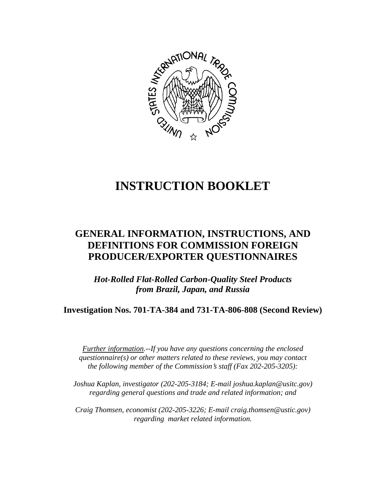

# **INSTRUCTION BOOKLET**

# **GENERAL INFORMATION, INSTRUCTIONS, AND DEFINITIONS FOR COMMISSION FOREIGN PRODUCER/EXPORTER QUESTIONNAIRES**

*Hot-Rolled Flat-Rolled Carbon-Quality Steel Products from Brazil, Japan, and Russia*

**Investigation Nos. 701-TA-384 and 731-TA-806-808 (Second Review)**

*Further information.--If you have any questions concerning the enclosed questionnaire(s) or other matters related to these reviews, you may contact the following member of the Commission*=*s staff (Fax 202-205-3205):* 

*Joshua Kaplan, investigator (202-205-3184; E-mail joshua.kaplan@usitc.gov) regarding general questions and trade and related information; and* 

 *Craig Thomsen, economist (202-205-3226; E-mail craig.thomsen@ustic.gov) regarding market related information.*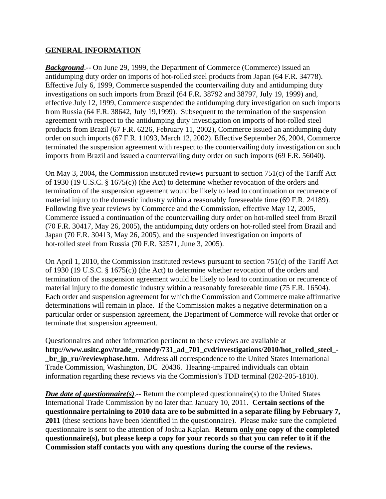#### **GENERAL INFORMATION**

*Background*.-- On June 29, 1999, the Department of Commerce (Commerce) issued an antidumping duty order on imports of hot-rolled steel products from Japan (64 F.R. 34778). Effective July 6, 1999, Commerce suspended the countervailing duty and antidumping duty investigations on such imports from Brazil (64 F.R. 38792 and 38797, July 19, 1999) and, effective July 12, 1999, Commerce suspended the antidumping duty investigation on such imports from Russia (64 F.R. 38642, July 19,1999). Subsequent to the termination of the suspension agreement with respect to the antidumping duty investigation on imports of hot-rolled steel products from Brazil (67 F.R. 6226, February 11, 2002), Commerce issued an antidumping duty order on such imports (67 F.R. 11093, March 12, 2002). Effective September 26, 2004, Commerce terminated the suspension agreement with respect to the countervailing duty investigation on such imports from Brazil and issued a countervailing duty order on such imports (69 F.R. 56040).

On May 3, 2004, the Commission instituted reviews pursuant to section 751(c) of the Tariff Act of 1930 (19 U.S.C. § 1675(c)) (the Act) to determine whether revocation of the orders and termination of the suspension agreement would be likely to lead to continuation or recurrence of material injury to the domestic industry within a reasonably foreseeable time (69 F.R. 24189). Following five year reviews by Commerce and the Commission, effective May 12, 2005, Commerce issued a continuation of the countervailing duty order on hot-rolled steel from Brazil (70 F.R. 30417, May 26, 2005), the antidumping duty orders on hot-rolled steel from Brazil and Japan (70 F.R. 30413, May 26, 2005), and the suspended investigation on imports of hot-rolled steel from Russia (70 F.R. 32571, June 3, 2005).

On April 1, 2010, the Commission instituted reviews pursuant to section 751(c) of the Tariff Act of 1930 (19 U.S.C. § 1675(c)) (the Act) to determine whether revocation of the orders and termination of the suspension agreement would be likely to lead to continuation or recurrence of material injury to the domestic industry within a reasonably foreseeable time (75 F.R. 16504). Each order and suspension agreement for which the Commission and Commerce make affirmative determinations will remain in place. If the Commission makes a negative determination on a particular order or suspension agreement, the Department of Commerce will revoke that order or terminate that suspension agreement.

Questionnaires and other information pertinent to these reviews are available at **http://www.usitc.gov/trade\_remedy/731\_ad\_701\_cvd/investigations/2010/hot\_rolled\_steel\_ br** jp ru//reviewphase.htm. Address all correspondence to the United States International Trade Commission, Washington, DC 20436. Hearing-impaired individuals can obtain information regarding these reviews via the Commission's TDD terminal (202-205-1810).

*Due date of questionnaire(s).*-- Return the completed questionnaire(s) to the United States International Trade Commission by no later than January 10, 2011. **Certain sections of the questionnaire pertaining to 2010 data are to be submitted in a separate filing by February 7, 2011** (these sections have been identified in the questionnaire). Please make sure the completed questionnaire is sent to the attention of Joshua Kaplan. **Return only one copy of the completed questionnaire(s), but please keep a copy for your records so that you can refer to it if the Commission staff contacts you with any questions during the course of the reviews.**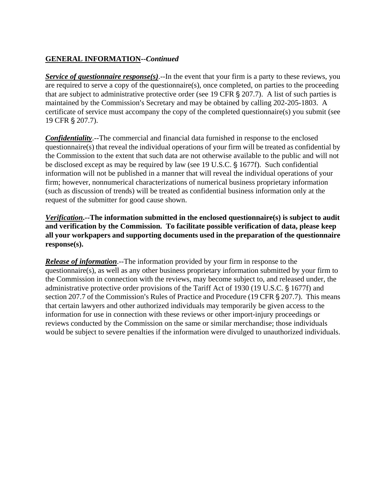# **GENERAL INFORMATION--***Continued*

*Service of questionnaire response(s)*.--In the event that your firm is a party to these reviews, you are required to serve a copy of the questionnaire(s), once completed, on parties to the proceeding that are subject to administrative protective order (see 19 CFR  $\S 207.7$ ). A list of such parties is maintained by the Commission's Secretary and may be obtained by calling 202-205-1803. A certificate of service must accompany the copy of the completed questionnaire(s) you submit (see 19 CFR § 207.7).

*Confidentiality*.--The commercial and financial data furnished in response to the enclosed questionnaire(s) that reveal the individual operations of your firm will be treated as confidential by the Commission to the extent that such data are not otherwise available to the public and will not be disclosed except as may be required by law (see 19 U.S.C. § 1677f). Such confidential information will not be published in a manner that will reveal the individual operations of your firm; however, nonnumerical characterizations of numerical business proprietary information (such as discussion of trends) will be treated as confidential business information only at the request of the submitter for good cause shown.

*Verification***.--The information submitted in the enclosed questionnaire(s) is subject to audit and verification by the Commission. To facilitate possible verification of data, please keep all your workpapers and supporting documents used in the preparation of the questionnaire response(s).**

*Release of information*.--The information provided by your firm in response to the questionnaire(s), as well as any other business proprietary information submitted by your firm to the Commission in connection with the reviews, may become subject to, and released under, the administrative protective order provisions of the Tariff Act of 1930 (19 U.S.C. § 1677f) and section 207.7 of the Commission's Rules of Practice and Procedure (19 CFR  $\S$  207.7). This means that certain lawyers and other authorized individuals may temporarily be given access to the information for use in connection with these reviews or other import-injury proceedings or reviews conducted by the Commission on the same or similar merchandise; those individuals would be subject to severe penalties if the information were divulged to unauthorized individuals.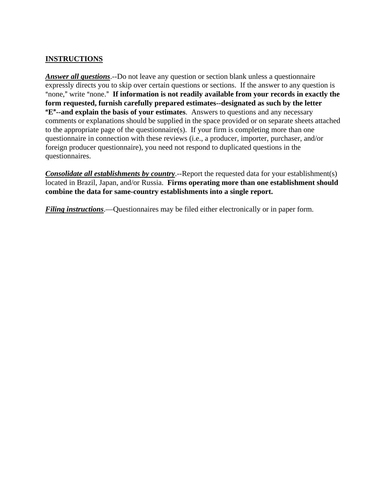## **INSTRUCTIONS**

*Answer all questions*.--Do not leave any question or section blank unless a questionnaire expressly directs you to skip over certain questions or sections. If the answer to any question is "none," write "none." If information is not readily available from your records in exactly the **form requested, furnish carefully prepared estimates--designated as such by the letter E<sup>n</sup>--and explain the basis of your estimates**. Answers to questions and any necessary comments or explanations should be supplied in the space provided or on separate sheets attached to the appropriate page of the questionnaire(s). If your firm is completing more than one questionnaire in connection with these reviews (i.e., a producer, importer, purchaser, and/or foreign producer questionnaire), you need not respond to duplicated questions in the questionnaires.

*Consolidate all establishments by country*.--Report the requested data for your establishment(s) located in Brazil, Japan, and/or Russia. **Firms operating more than one establishment should combine the data for same-country establishments into a single report.** 

*Filing instructions*.—Questionnaires may be filed either electronically or in paper form.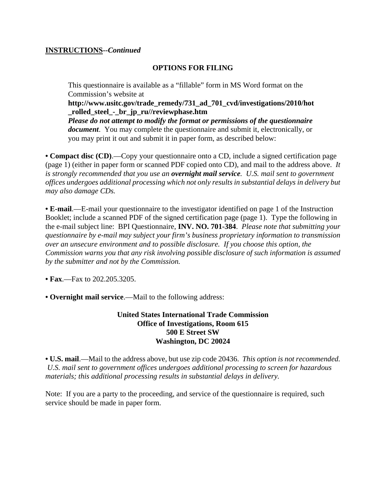#### **INSTRUCTIONS--***Continued*

#### **OPTIONS FOR FILING**

This questionnaire is available as a "fillable" form in MS Word format on the Commission's website at

**http://www.usitc.gov/trade\_remedy/731\_ad\_701\_cvd/investigations/2010/hot \_rolled\_steel\_-\_br\_jp\_ru//reviewphase.htm** 

*Please do not attempt to modify the format or permissions of the questionnaire document*. You may complete the questionnaire and submit it, electronically, or you may print it out and submit it in paper form, as described below:

**• Compact disc (CD)**.—Copy your questionnaire onto a CD, include a signed certification page (page 1) (either in paper form or scanned PDF copied onto CD), and mail to the address above. *It is strongly recommended that you use an overnight mail service. U.S. mail sent to government offices undergoes additional processing which not only results in substantial delays in delivery but may also damage CDs.* 

**• E-mail**.—E-mail your questionnaire to the investigator identified on page 1 of the Instruction Booklet; include a scanned PDF of the signed certification page (page 1). Type the following in the e-mail subject line: BPI Questionnaire, **INV. NO. 701-384**. *Please note that submitting your questionnaire by e-mail may subject your firm's business proprietary information to transmission over an unsecure environment and to possible disclosure. If you choose this option, the Commission warns you that any risk involving possible disclosure of such information is assumed by the submitter and not by the Commission.* 

**• Fax**.—Fax to 202.205.3205.

**• Overnight mail service**.—Mail to the following address:

#### **United States International Trade Commission Office of Investigations, Room 615 500 E Street SW Washington, DC 20024**

**• U.S. mail**.—Mail to the address above, but use zip code 20436. *This option is not recommended. U.S. mail sent to government offices undergoes additional processing to screen for hazardous materials; this additional processing results in substantial delays in delivery.* 

Note: If you are a party to the proceeding, and service of the questionnaire is required, such service should be made in paper form.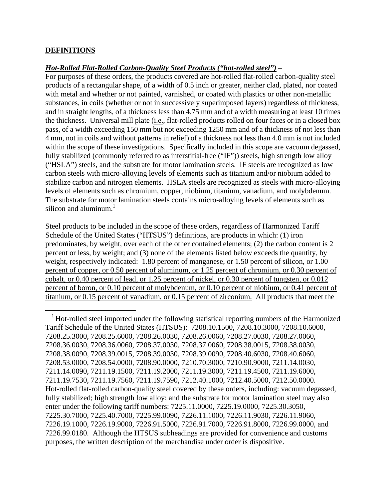#### **DEFINITIONS**

 $\overline{a}$ 

#### *Hot-Rolled Flat-Rolled Carbon-Quality Steel Products ("hot-rolled steel")* –

For purposes of these orders, the products covered are hot-rolled flat-rolled carbon-quality steel products of a rectangular shape, of a width of 0.5 inch or greater, neither clad, plated, nor coated with metal and whether or not painted, varnished, or coated with plastics or other non-metallic substances, in coils (whether or not in successively superimposed layers) regardless of thickness, and in straight lengths, of a thickness less than 4.75 mm and of a width measuring at least 10 times the thickness. Universal mill plate (i.e., flat-rolled products rolled on four faces or in a closed box pass, of a width exceeding 150 mm but not exceeding 1250 mm and of a thickness of not less than 4 mm, not in coils and without patterns in relief) of a thickness not less than 4.0 mm is not included within the scope of these investigations. Specifically included in this scope are vacuum degassed, fully stabilized (commonly referred to as interstitial-free ("IF")) steels, high strength low alloy ("HSLA") steels, and the substrate for motor lamination steels. IF steels are recognized as low carbon steels with micro-alloying levels of elements such as titanium and/or niobium added to stabilize carbon and nitrogen elements. HSLA steels are recognized as steels with micro-alloying levels of elements such as chromium, copper, niobium, titanium, vanadium, and molybdenum. The substrate for motor lamination steels contains micro-alloying levels of elements such as silicon and aluminum. $<sup>1</sup>$ </sup>

Steel products to be included in the scope of these orders, regardless of Harmonized Tariff Schedule of the United States ("HTSUS") definitions, are products in which: (1) iron predominates, by weight, over each of the other contained elements; (2) the carbon content is 2 percent or less, by weight; and (3) none of the elements listed below exceeds the quantity, by weight, respectively indicated: 1.80 percent of manganese, or 1.50 percent of silicon, or 1.00 percent of copper, or 0.50 percent of aluminum, or 1.25 percent of chromium, or 0.30 percent of cobalt, or 0.40 percent of lead, or 1.25 percent of nickel, or 0.30 percent of tungsten, or 0.012 percent of boron, or 0.10 percent of molybdenum, or 0.10 percent of niobium, or 0.41 percent of titanium, or 0.15 percent of vanadium, or 0.15 percent of zirconium. All products that meet the

<sup>&</sup>lt;sup>1</sup> Hot-rolled steel imported under the following statistical reporting numbers of the Harmonized Tariff Schedule of the United States (HTSUS): 7208.10.1500, 7208.10.3000, 7208.10.6000, 7208.25.3000, 7208.25.6000, 7208.26.0030, 7208.26.0060, 7208.27.0030, 7208.27.0060, 7208.36.0030, 7208.36.0060, 7208.37.0030, 7208.37.0060, 7208.38.0015, 7208.38.0030, 7208.38.0090, 7208.39.0015, 7208.39.0030, 7208.39.0090, 7208.40.6030, 7208.40.6060, 7208.53.0000, 7208.54.0000, 7208.90.0000, 7210.70.3000, 7210.90.9000, 7211.14.0030, 7211.14.0090, 7211.19.1500, 7211.19.2000, 7211.19.3000, 7211.19.4500, 7211.19.6000, 7211.19.7530, 7211.19.7560, 7211.19.7590, 7212.40.1000, 7212.40.5000, 7212.50.0000. Hot-rolled flat-rolled carbon-quality steel covered by these orders, including: vacuum degassed, fully stabilized; high strength low alloy; and the substrate for motor lamination steel may also enter under the following tariff numbers: 7225.11.0000, 7225.19.0000, 7225.30.3050, 7225.30.7000, 7225.40.7000, 7225.99.0090, 7226.11.1000, 7226.11.9030, 7226.11.9060, 7226.19.1000, 7226.19.9000, 7226.91.5000, 7226.91.7000, 7226.91.8000, 7226.99.0000, and 7226.99.0180. Although the HTSUS subheadings are provided for convenience and customs purposes, the written description of the merchandise under order is dispositive.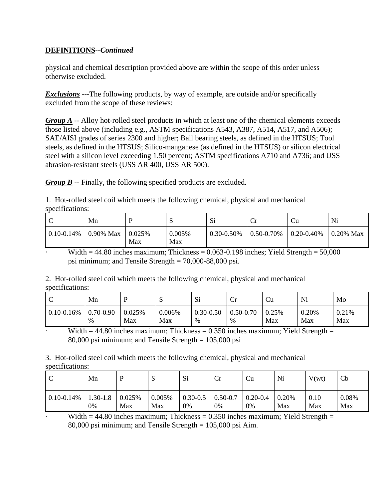# **DEFINITIONS--***Continued*

physical and chemical description provided above are within the scope of this order unless otherwise excluded.

*Exclusions* ---The following products, by way of example, are outside and/or specifically excluded from the scope of these reviews:

*Group A* -- Alloy hot-rolled steel products in which at least one of the chemical elements exceeds those listed above (including e.g., ASTM specifications A543, A387, A514, A517, and A506); SAE/AISI grades of series 2300 and higher; Ball bearing steels, as defined in the HTSUS; Tool steels, as defined in the HTSUS; Silico-manganese (as defined in the HTSUS) or silicon electrical steel with a silicon level exceeding 1.50 percent; ASTM specifications A710 and A736; and USS abrasion-resistant steels (USS AR 400, USS AR 500).

*Group B* -- Finally, the following specified products are excluded.

1. Hot-rolled steel coil which meets the following chemical, physical and mechanical specifications:

| ╰               | Mn           |               | N             | Si              | ◡               | Ċu              | Ni                |
|-----------------|--------------|---------------|---------------|-----------------|-----------------|-----------------|-------------------|
| $0.10 - 0.14\%$ | $0.90\%$ Max | 0.025%<br>Max | 0.005%<br>Max | $0.30 - 0.50\%$ | $0.50 - 0.70\%$ | $0.20 - 0.40\%$ | $\vert$ 0.20% Max |

Width  $= 44.80$  inches maximum; Thickness  $= 0.063 - 0.198$  inches; Yield Strength  $= 50,000$ psi minimum; and Tensile Strength = 70,000-88,000 psi.

2. Hot-rolled steel coil which meets the following chemical, physical and mechanical specifications:

| ◡               | Mn            | D      | C<br>ມ | Si            | ◡             | <b>Cu</b> | Ni    | Mo    |
|-----------------|---------------|--------|--------|---------------|---------------|-----------|-------|-------|
| $0.10 - 0.16\%$ | $0.70 - 0.90$ | 0.025% | 0.006% | $0.30 - 0.50$ | $0.50 - 0.70$ | 0.25%     | 0.20% | 0.21% |
|                 | %             | Max    | Max    | %             | %             | Max       | Max   | Max   |

Width  $= 44.80$  inches maximum; Thickness  $= 0.350$  inches maximum; Yield Strength  $=$ 80,000 psi minimum; and Tensile Strength = 105,000 psi

3. Hot-rolled steel coil which meets the following chemical, physical and mechanical specifications:

| ◡               | Mn           |        | ້      | Si           | $\rm Cr$     | Cu           | Ni    | V(wt) | Cb    |
|-----------------|--------------|--------|--------|--------------|--------------|--------------|-------|-------|-------|
| $0.10 - 0.14\%$ | $1.30 - 1.8$ | 0.025% | 0.005% | $0.30 - 0.5$ | $0.50 - 0.7$ | $0.20 - 0.4$ | 0.20% | 0.10  | 0.08% |
|                 | 0%           | Max    | Max    | 0%           | 0%           | 0%           | Max   | Max   | Max   |

Width  $= 44.80$  inches maximum; Thickness  $= 0.350$  inches maximum; Yield Strength  $=$ 80,000 psi minimum; and Tensile Strength = 105,000 psi Aim.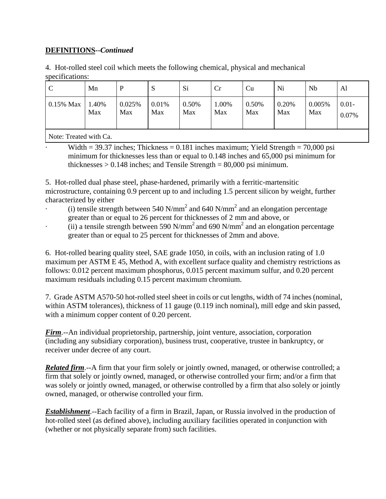## **DEFINITIONS--***Continued*

4. Hot-rolled steel coil which meets the following chemical, physical and mechanical specifications:

| $\mathcal{C}$ | Mn           | D             | ມ            | Si           | Cr           | Cu           | Ni           | Nb            | Al                |
|---------------|--------------|---------------|--------------|--------------|--------------|--------------|--------------|---------------|-------------------|
| $0.15\%$ Max  | 1.40%<br>Max | 0.025%<br>Max | 0.01%<br>Max | 0.50%<br>Max | 1.00%<br>Max | 0.50%<br>Max | 0.20%<br>Max | 0.005%<br>Max | $0.01 -$<br>0.07% |
| $\mathbf{R}$  |              |               |              |              |              |              |              |               |                   |

Note: Treated with Ca.

Width = 39.37 inches; Thickness = 0.181 inches maximum; Yield Strength =  $70,000$  psi minimum for thicknesses less than or equal to 0.148 inches and 65,000 psi minimum for thicknesses  $> 0.148$  inches; and Tensile Strength = 80,000 psi minimum.

5. Hot-rolled dual phase steel, phase-hardened, primarily with a ferritic-martensitic microstructure, containing 0.9 percent up to and including 1.5 percent silicon by weight, further characterized by either

- $\cdot$  (i) tensile strength between 540 N/mm<sup>2</sup> and 640 N/mm<sup>2</sup> and an elongation percentage greater than or equal to 26 percent for thicknesses of 2 mm and above, or
- $\cdot$  (ii) a tensile strength between 590 N/mm<sup>2</sup> and 690 N/mm<sup>2</sup> and an elongation percentage greater than or equal to 25 percent for thicknesses of 2mm and above.

6. Hot-rolled bearing quality steel, SAE grade 1050, in coils, with an inclusion rating of 1.0 maximum per ASTM E 45, Method A, with excellent surface quality and chemistry restrictions as follows: 0.012 percent maximum phosphorus, 0.015 percent maximum sulfur, and 0.20 percent maximum residuals including 0.15 percent maximum chromium.

7. Grade ASTM A570-50 hot-rolled steel sheet in coils or cut lengths, width of 74 inches (nominal, within ASTM tolerances), thickness of 11 gauge (0.119 inch nominal), mill edge and skin passed, with a minimum copper content of 0.20 percent.

*Firm*.--An individual proprietorship, partnership, joint venture, association, corporation (including any subsidiary corporation), business trust, cooperative, trustee in bankruptcy, or receiver under decree of any court.

*Related firm.*--A firm that your firm solely or jointly owned, managed, or otherwise controlled; a firm that solely or jointly owned, managed, or otherwise controlled your firm; and/or a firm that was solely or jointly owned, managed, or otherwise controlled by a firm that also solely or jointly owned, managed, or otherwise controlled your firm.

*Establishment*.--Each facility of a firm in Brazil, Japan, or Russia involved in the production of hot-rolled steel (as defined above), including auxiliary facilities operated in conjunction with (whether or not physically separate from) such facilities.